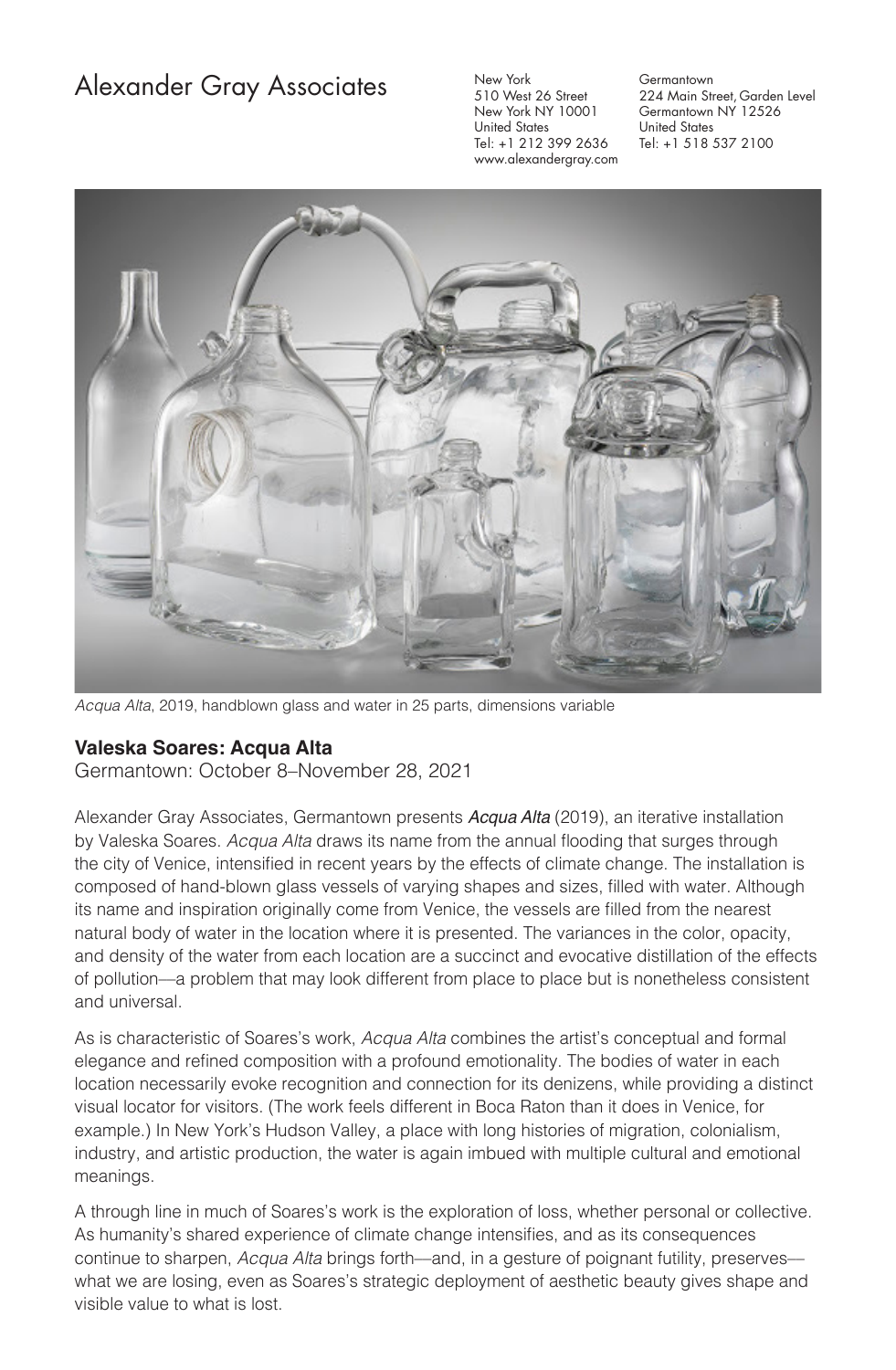## Alexander Gray Associates

New York 510 West 26 Street New York NY 10001 United States Tel: +1 212 399 2636 www.alexandergray.com

**Germantown** 224 Main Street, Garden Level Germantown NY 12526 United States Tel: +1 518 537 2100



*Acqua Alta*, 2019, handblown glass and water in 25 parts, dimensions variable

## **Valeska Soares: Acqua Alta**

Germantown: October 8–November 28, 2021

Alexander Gray Associates, Germantown presents *Acqua Alta* (2019), an iterative installation by Valeska Soares. *Acqua Alta* draws its name from the annual flooding that surges through the city of Venice, intensified in recent years by the effects of climate change. The installation is composed of hand-blown glass vessels of varying shapes and sizes, filled with water. Although its name and inspiration originally come from Venice, the vessels are filled from the nearest natural body of water in the location where it is presented. The variances in the color, opacity, and density of the water from each location are a succinct and evocative distillation of the effects of pollution––a problem that may look different from place to place but is nonetheless consistent and universal.

As is characteristic of Soares's work, *Acqua Alta* combines the artist's conceptual and formal elegance and refined composition with a profound emotionality. The bodies of water in each location necessarily evoke recognition and connection for its denizens, while providing a distinct visual locator for visitors. (The work feels different in Boca Raton than it does in Venice, for example.) In New York's Hudson Valley, a place with long histories of migration, colonialism, industry, and artistic production, the water is again imbued with multiple cultural and emotional meanings.

A through line in much of Soares's work is the exploration of loss, whether personal or collective. As humanity's shared experience of climate change intensifies, and as its consequences continue to sharpen, *Acqua Alta* brings forth—and, in a gesture of poignant futility, preserves what we are losing, even as Soares's strategic deployment of aesthetic beauty gives shape and visible value to what is lost.